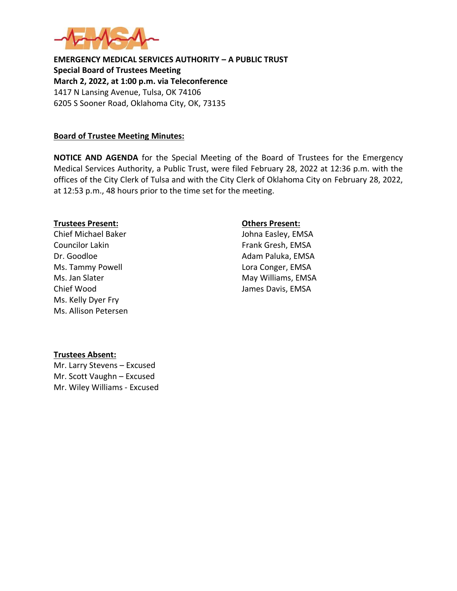

**EMERGENCY MEDICAL SERVICES AUTHORITY – A PUBLIC TRUST Special Board of Trustees Meeting March 2, 2022, at 1:00 p.m. via Teleconference** 1417 N Lansing Avenue, Tulsa, OK 74106 6205 S Sooner Road, Oklahoma City, OK, 73135

## **Board of Trustee Meeting Minutes:**

**NOTICE AND AGENDA** for the Special Meeting of the Board of Trustees for the Emergency Medical Services Authority, a Public Trust, were filed February 28, 2022 at 12:36 p.m. with the offices of the City Clerk of Tulsa and with the City Clerk of Oklahoma City on February 28, 2022, at 12:53 p.m., 48 hours prior to the time set for the meeting.

#### **Trustees Present: Others Present:**

Chief Michael Baker Johna Easley, EMSA Councilor Lakin Frank Gresh, EMSA Dr. Goodloe **Adam Paluka, EMSA** Ms. Tammy Powell **Lora Conger**, EMSA Ms. Jan Slater May Williams, EMSA Chief Wood James Davis, EMSA Ms. Kelly Dyer Fry Ms. Allison Petersen

# **Trustees Absent:**

Mr. Larry Stevens – Excused Mr. Scott Vaughn – Excused Mr. Wiley Williams - Excused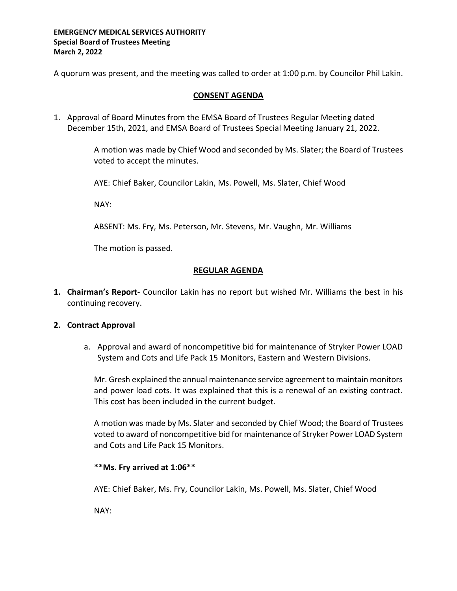## **EMERGENCY MEDICAL SERVICES AUTHORITY Special Board of Trustees Meeting March 2, 2022**

A quorum was present, and the meeting was called to order at 1:00 p.m. by Councilor Phil Lakin.

## **CONSENT AGENDA**

1. Approval of Board Minutes from the EMSA Board of Trustees Regular Meeting dated December 15th, 2021, and EMSA Board of Trustees Special Meeting January 21, 2022.

> A motion was made by Chief Wood and seconded by Ms. Slater; the Board of Trustees voted to accept the minutes.

AYE: Chief Baker, Councilor Lakin, Ms. Powell, Ms. Slater, Chief Wood

NAY:

ABSENT: Ms. Fry, Ms. Peterson, Mr. Stevens, Mr. Vaughn, Mr. Williams

The motion is passed.

## **REGULAR AGENDA**

**1. Chairman's Report**- Councilor Lakin has no report but wished Mr. Williams the best in his continuing recovery.

#### **2. Contract Approval**

a. Approval and award of noncompetitive bid for maintenance of Stryker Power LOAD System and Cots and Life Pack 15 Monitors, Eastern and Western Divisions.

Mr. Gresh explained the annual maintenance service agreement to maintain monitors and power load cots. It was explained that this is a renewal of an existing contract. This cost has been included in the current budget.

A motion was made by Ms. Slater and seconded by Chief Wood; the Board of Trustees voted to award of noncompetitive bid for maintenance of Stryker Power LOAD System and Cots and Life Pack 15 Monitors.

# **\*\*Ms. Fry arrived at 1:06\*\***

AYE: Chief Baker, Ms. Fry, Councilor Lakin, Ms. Powell, Ms. Slater, Chief Wood

NAY: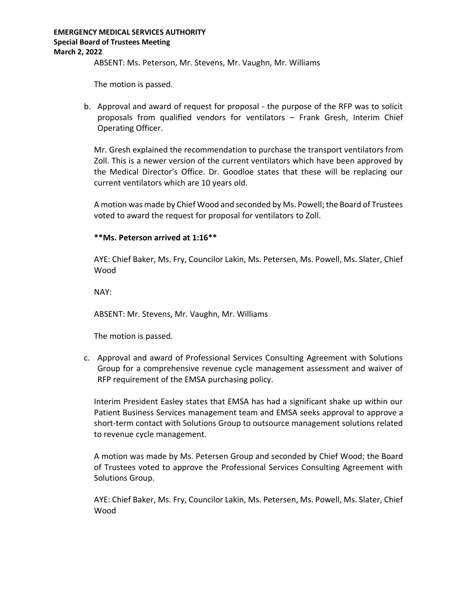ABSENT: Ms. Peterson, Mr. Stevens, Mr. Vaughn, Mr. Williams

The motion is passed.

b. Approval and award of request for proposal - the purpose of the RFP was to solicit proposals from qualified vendors for ventilators – Frank Gresh, Interim Chief Operating Officer.

Mr. Gresh explained the recommendation to purchase the transport ventilators from Zoll. This is a newer version of the current ventilators which have been approved by the Medical Director's Office. Dr. Goodloe states that these will be replacing our current ventilators which are 10 years old.

A motion was made by Chief Wood and seconded by Ms. Powell; the Board of Trustees voted to award the request for proposal for ventilators to Zoll.

# **\*\*Ms. Peterson arrived at 1:16\*\***

AYE: Chief Baker, Ms. Fry, Councilor Lakin, Ms. Petersen, Ms. Powell, Ms. Slater, Chief Wood

NAY:

ABSENT: Mr. Stevens, Mr. Vaughn, Mr. Williams

The motion is passed.

c. Approval and award of Professional Services Consulting Agreement with Solutions Group for a comprehensive revenue cycle management assessment and waiver of RFP requirement of the EMSA purchasing policy.

Interim President Easley states that EMSA has had a significant shake up within our Patient Business Services management team and EMSA seeks approval to approve a short-term contact with Solutions Group to outsource management solutions related to revenue cycle management.

A motion was made by Ms. Petersen Group and seconded by Chief Wood; the Board of Trustees voted to approve the Professional Services Consulting Agreement with Solutions Group.

AYE: Chief Baker, Ms. Fry, Councilor Lakin, Ms. Petersen, Ms. Powell, Ms. Slater, Chief Wood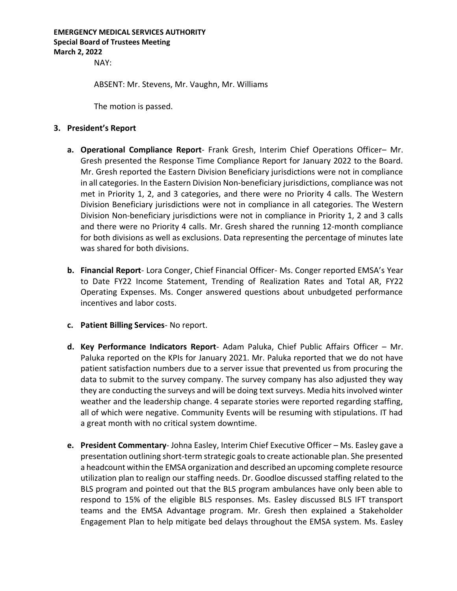# **EMERGENCY MEDICAL SERVICES AUTHORITY Special Board of Trustees Meeting March 2, 2022**

NAY:

ABSENT: Mr. Stevens, Mr. Vaughn, Mr. Williams

The motion is passed.

#### **3. President's Report**

- **a. Operational Compliance Report** Frank Gresh, Interim Chief Operations Officer– Mr. Gresh presented the Response Time Compliance Report for January 2022 to the Board. Mr. Gresh reported the Eastern Division Beneficiary jurisdictions were not in compliance in all categories. In the Eastern Division Non-beneficiary jurisdictions, compliance was not met in Priority 1, 2, and 3 categories, and there were no Priority 4 calls. The Western Division Beneficiary jurisdictions were not in compliance in all categories. The Western Division Non-beneficiary jurisdictions were not in compliance in Priority 1, 2 and 3 calls and there were no Priority 4 calls. Mr. Gresh shared the running 12-month compliance for both divisions as well as exclusions. Data representing the percentage of minutes late was shared for both divisions.
- **b. Financial Report** Lora Conger, Chief Financial Officer- Ms. Conger reported EMSA's Year to Date FY22 Income Statement, Trending of Realization Rates and Total AR, FY22 Operating Expenses. Ms. Conger answered questions about unbudgeted performance incentives and labor costs.
- **c. Patient Billing Services** No report.
- **d. Key Performance Indicators Report** Adam Paluka, Chief Public Affairs Officer Mr. Paluka reported on the KPIs for January 2021. Mr. Paluka reported that we do not have patient satisfaction numbers due to a server issue that prevented us from procuring the data to submit to the survey company. The survey company has also adjusted they way they are conducting the surveys and will be doing text surveys. Media hits involved winter weather and the leadership change. 4 separate stories were reported regarding staffing, all of which were negative. Community Events will be resuming with stipulations. IT had a great month with no critical system downtime.
- **e. President Commentary** Johna Easley, Interim Chief Executive Officer Ms. Easley gave a presentation outlining short-term strategic goals to create actionable plan. She presented a headcount within the EMSA organization and described an upcoming complete resource utilization plan to realign our staffing needs. Dr. Goodloe discussed staffing related to the BLS program and pointed out that the BLS program ambulances have only been able to respond to 15% of the eligible BLS responses. Ms. Easley discussed BLS IFT transport teams and the EMSA Advantage program. Mr. Gresh then explained a Stakeholder Engagement Plan to help mitigate bed delays throughout the EMSA system. Ms. Easley